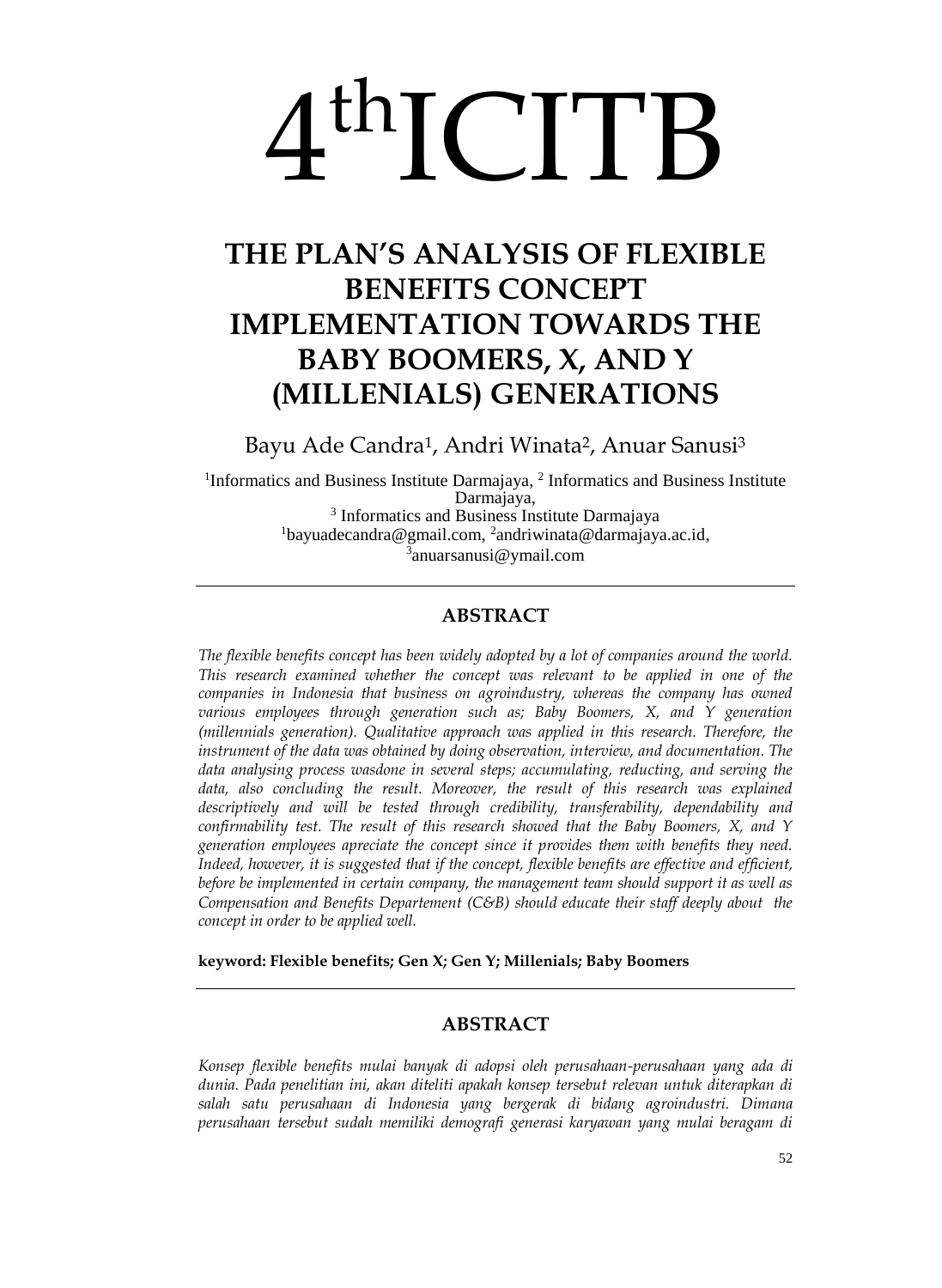# 4 thICITB

# **THE PLAN'S ANALYSIS OF FLEXIBLE BENEFITS CONCEPT IMPLEMENTATION TOWARDS THE BABY BOOMERS, X, AND Y (MILLENIALS) GENERATIONS**

Bayu Ade Candra<sup>1</sup>, Andri Winata<sup>2</sup>, Anuar Sanusi<sup>3</sup>

<sup>1</sup>Informatics and Business Institute Darmajaya, <sup>2</sup> Informatics and Business Institute Darmajaya, 3 Informatics and Business Institute Darmajaya <sup>1</sup>bayuadecandra@gmail.com, 2 andriwinata@darmajaya.ac.id, 3 anuarsanusi@ymail.com

## **ABSTRACT**

*The flexible benefits concept has been widely adopted by a lot of companies around the world. This research examined whether the concept was relevant to be applied in one of the companies in Indonesia that business on agroindustry, whereas the company has owned various employees through generation such as; Baby Boomers, X, and Y generation (millennials generation). Qualitative approach was applied in this research. Therefore, the instrument of the data was obtained by doing observation, interview, and documentation. The data analysing process wasdone in several steps; accumulating, reducting, and serving the*  data, also concluding the result. Moreover, the result of this research was explained *descriptively and will be tested through credibility, transferability, dependability and confirmability test. The result of this research showed that the Baby Boomers, X, and Y generation employees apreciate the concept since it provides them with benefits they need. Indeed, however, it is suggested that if the concept, flexible benefits are effective and efficient, before be implemented in certain company, the management team should support it as well as Compensation and Benefits Departement (C&B) should educate their staff deeply about the concept in order to be applied well.*

**keyword: Flexible benefits; Gen X; Gen Y; Millenials; Baby Boomers**

### **ABSTRACT**

*Konsep flexible benefits mulai banyak di adopsi oleh perusahaan-perusahaan yang ada di dunia. Pada penelitian ini, akan diteliti apakah konsep tersebut relevan untuk diterapkan di salah satu perusahaan di Indonesia yang bergerak di bidang agroindustri. Dimana perusahaan tersebut sudah memiliki demografi generasi karyawan yang mulai beragam di*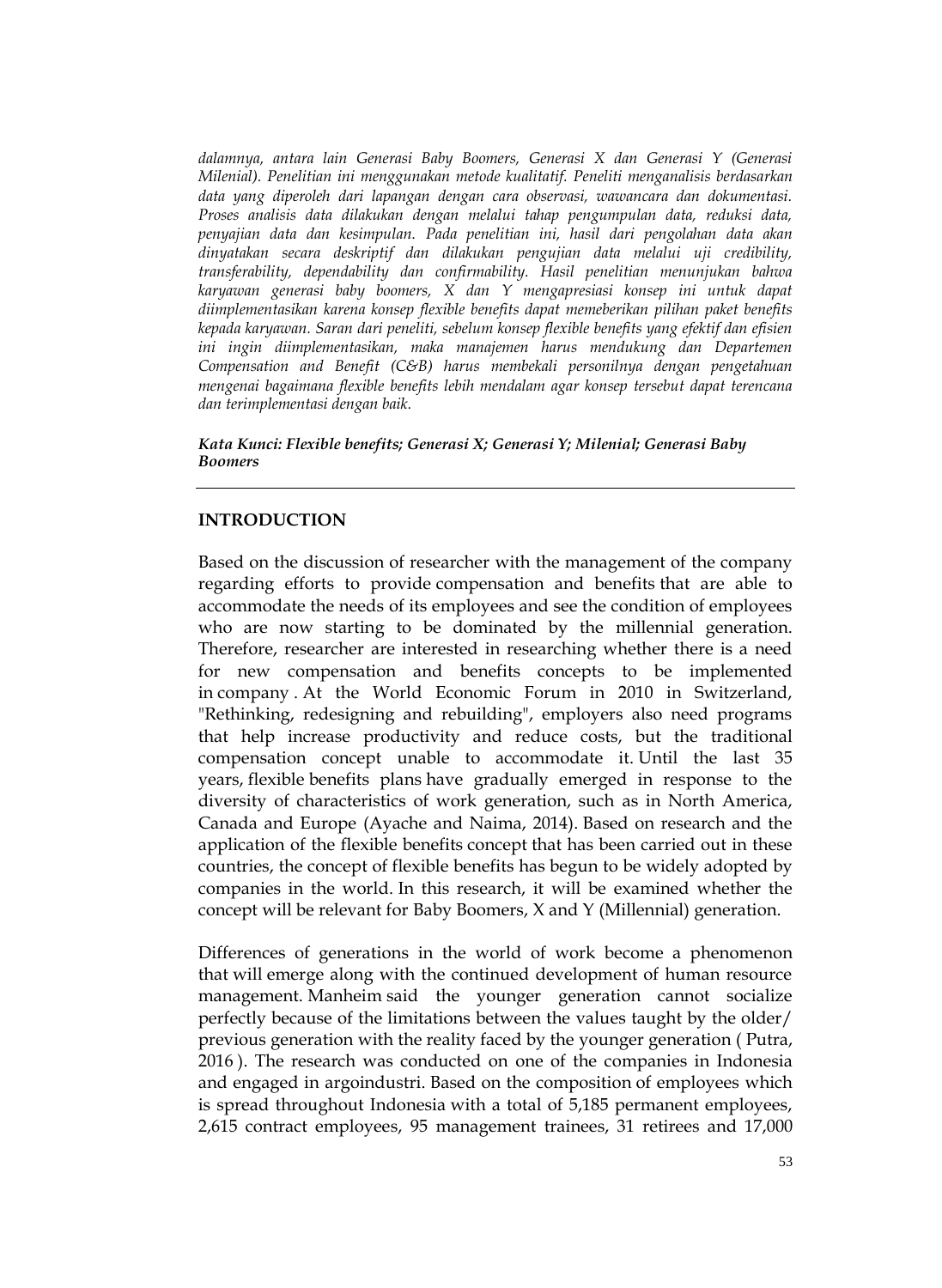*dalamnya, antara lain Generasi Baby Boomers, Generasi X dan Generasi Y (Generasi Milenial). Penelitian ini menggunakan metode kualitatif. Peneliti menganalisis berdasarkan data yang diperoleh dari lapangan dengan cara observasi, wawancara dan dokumentasi. Proses analisis data dilakukan dengan melalui tahap pengumpulan data, reduksi data, penyajian data dan kesimpulan. Pada penelitian ini, hasil dari pengolahan data akan dinyatakan secara deskriptif dan dilakukan pengujian data melalui uji credibility, transferability, dependability dan confirmability. Hasil penelitian menunjukan bahwa karyawan generasi baby boomers, X dan Y mengapresiasi konsep ini untuk dapat diimplementasikan karena konsep flexible benefits dapat memeberikan pilihan paket benefits kepada karyawan. Saran dari peneliti, sebelum konsep flexible benefits yang efektif dan efisien ini ingin diimplementasikan, maka manajemen harus mendukung dan Departemen Compensation and Benefit (C&B) harus membekali personilnya dengan pengetahuan mengenai bagaimana flexible benefits lebih mendalam agar konsep tersebut dapat terencana dan terimplementasi dengan baik.*

#### *Kata Kunci: Flexible benefits; Generasi X; Generasi Y; Milenial; Generasi Baby Boomers*

#### **INTRODUCTION**

Based on the discussion of researcher with the management of the company regarding efforts to provide compensation and benefits that are able to accommodate the needs of its employees and see the condition of employees who are now starting to be dominated by the millennial generation. Therefore, researcher are interested in researching whether there is a need for new compensation and benefits concepts to be implemented in company . At the World Economic Forum in 2010 in Switzerland, "Rethinking, redesigning and rebuilding", employers also need programs that help increase productivity and reduce costs, but the traditional compensation concept unable to accommodate it. Until the last 35 years, flexible benefits plans have gradually emerged in response to the diversity of characteristics of work generation, such as in North America, Canada and Europe (Ayache and Naima, 2014). Based on research and the application of the flexible benefits concept that has been carried out in these countries, the concept of flexible benefits has begun to be widely adopted by companies in the world. In this research, it will be examined whether the concept will be relevant for Baby Boomers, X and Y (Millennial) generation.

Differences of generations in the world of work become a phenomenon that will emerge along with the continued development of human resource management. Manheim said the younger generation cannot socialize perfectly because of the limitations between the values taught by the older/ previous generation with the reality faced by the younger generation ( Putra, 2016 ). The research was conducted on one of the companies in Indonesia and engaged in argoindustri. Based on the composition of employees which is spread throughout Indonesia with a total of 5,185 permanent employees, 2,615 contract employees, 95 management trainees, 31 retirees and 17,000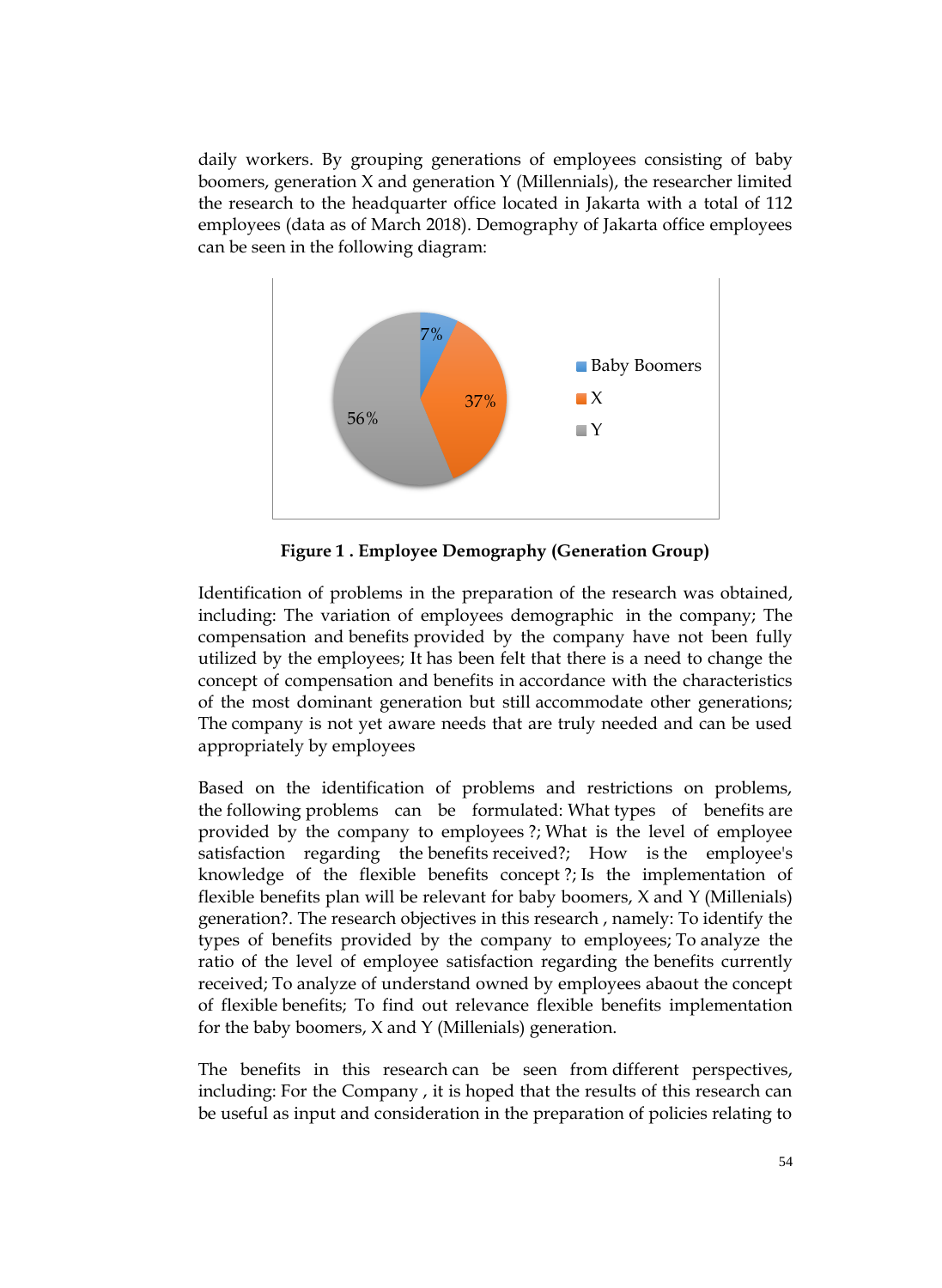daily workers. By grouping generations of employees consisting of baby boomers, generation  $X$  and generation  $Y$  (Millennials), the researcher limited the research to the headquarter office located in Jakarta with a total of 112 employees (data as of March 2018). Demography of Jakarta office employees can be seen in the following diagram:



**Figure 1 . Employee Demography (Generation Group)**

Identification of problems in the preparation of the research was obtained, including: The variation of employees demographic in the company; The compensation and benefits provided by the company have not been fully utilized by the employees; It has been felt that there is a need to change the concept of compensation and benefits in accordance with the characteristics of the most dominant generation but still accommodate other generations; The company is not yet aware needs that are truly needed and can be used appropriately by employees

Based on the identification of problems and restrictions on problems, the following problems can be formulated: What types of benefits are provided by the company to employees ?; What is the level of employee satisfaction regarding the benefits received?; How is the employee's knowledge of the flexible benefits concept ?; Is the implementation of flexible benefits plan will be relevant for baby boomers, X and Y (Millenials) generation?. The research objectives in this research , namely: To identify the types of benefits provided by the company to employees; To analyze the ratio of the level of employee satisfaction regarding the benefits currently received; To analyze of understand owned by employees abaout the concept of flexible benefits; To find out relevance flexible benefits implementation for the baby boomers, X and Y (Millenials) generation.

The benefits in this research can be seen from different perspectives, including: For the Company , it is hoped that the results of this research can be useful as input and consideration in the preparation of policies relating to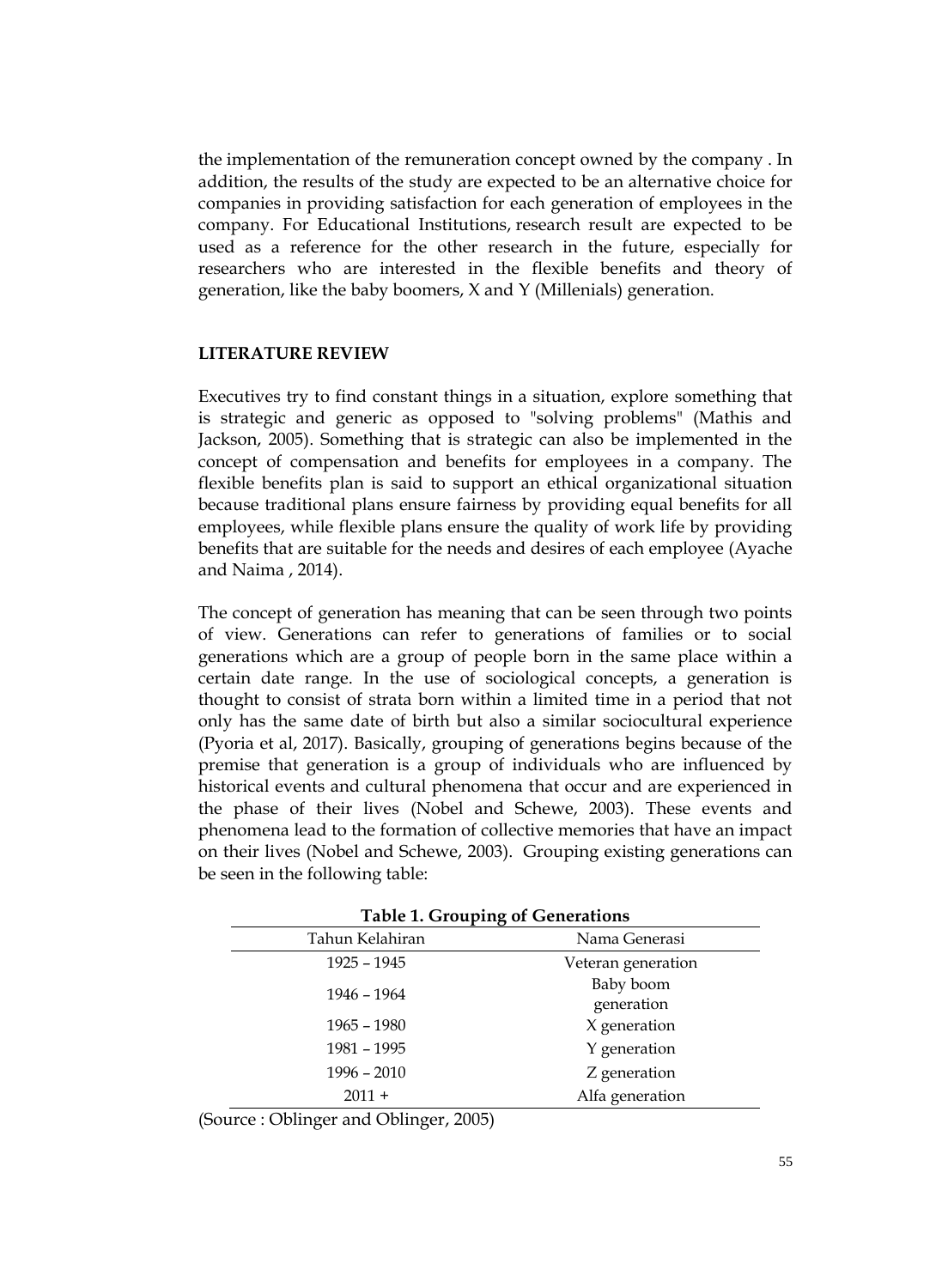the implementation of the remuneration concept owned by the company . In addition, the results of the study are expected to be an alternative choice for companies in providing satisfaction for each generation of employees in the company. For Educational Institutions, research result are expected to be used as a reference for the other research in the future, especially for researchers who are interested in the flexible benefits and theory of generation, like the baby boomers, X and Y (Millenials) generation.

#### **LITERATURE REVIEW**

Executives try to find constant things in a situation, explore something that is strategic and generic as opposed to "solving problems" (Mathis and Jackson, 2005). Something that is strategic can also be implemented in the concept of compensation and benefits for employees in a company. The flexible benefits plan is said to support an ethical organizational situation because traditional plans ensure fairness by providing equal benefits for all employees, while flexible plans ensure the quality of work life by providing benefits that are suitable for the needs and desires of each employee (Ayache and Naima , 2014).

The concept of generation has meaning that can be seen through two points of view. Generations can refer to generations of families or to social generations which are a group of people born in the same place within a certain date range. In the use of sociological concepts, a generation is thought to consist of strata born within a limited time in a period that not only has the same date of birth but also a similar sociocultural experience (Pyoria et al, 2017). Basically, grouping of generations begins because of the premise that generation is a group of individuals who are influenced by historical events and cultural phenomena that occur and are experienced in the phase of their lives (Nobel and Schewe, 2003). These events and phenomena lead to the formation of collective memories that have an impact on their lives (Nobel and Schewe, 2003). Grouping existing generations can be seen in the following table:

| Table 1. Shouping of Schemations |                         |  |  |  |
|----------------------------------|-------------------------|--|--|--|
| Tahun Kelahiran                  | Nama Generasi           |  |  |  |
| 1925 - 1945                      | Veteran generation      |  |  |  |
| 1946 - 1964                      | Baby boom<br>generation |  |  |  |
| $1965 - 1980$                    | X generation            |  |  |  |
| 1981 - 1995                      | Y generation            |  |  |  |
| $1996 - 2010$                    | Z generation            |  |  |  |
| $2011 +$                         | Alfa generation         |  |  |  |

**Table 1. Grouping of Generations**

(Source : Oblinger and Oblinger, 2005)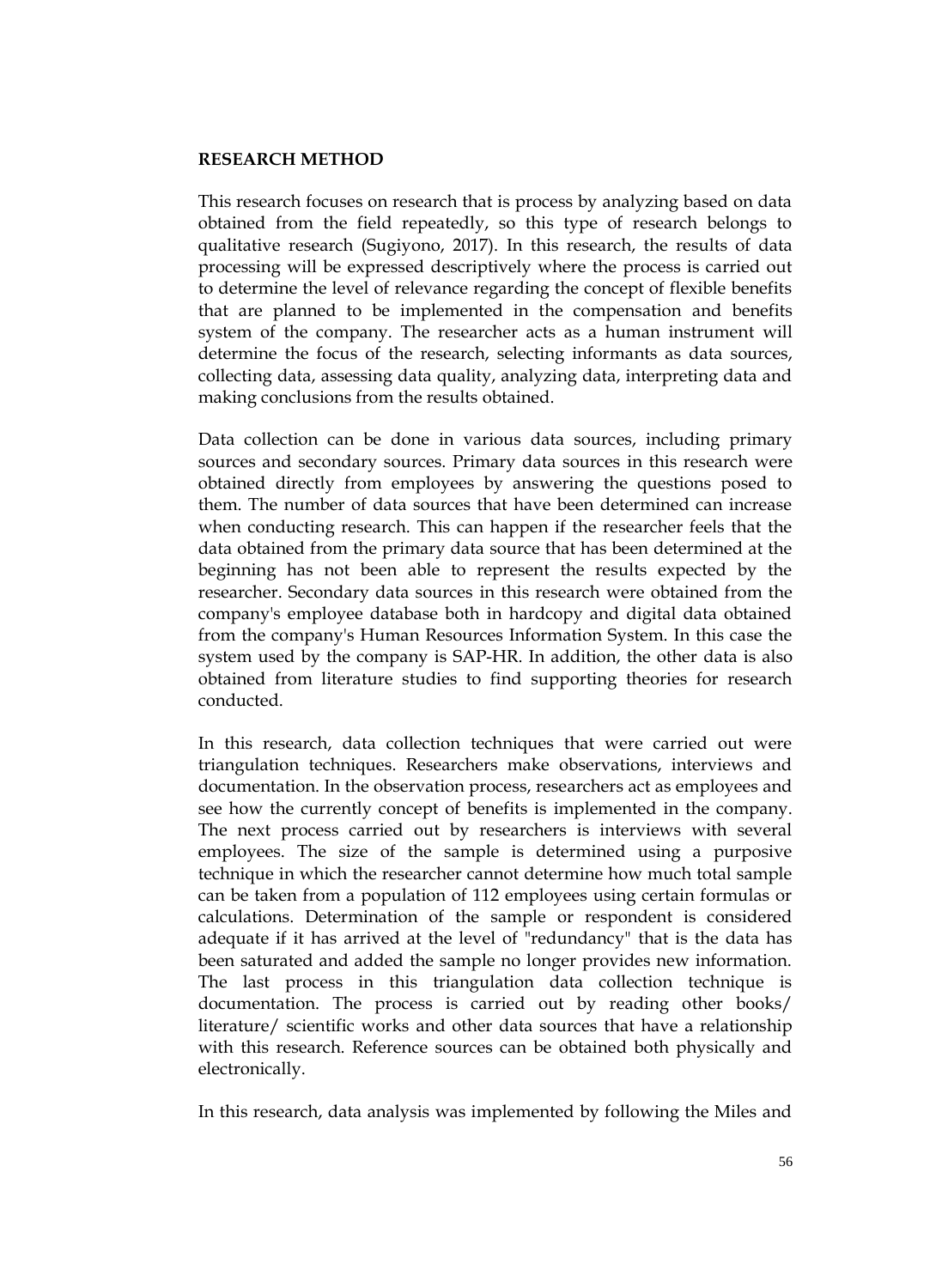#### **RESEARCH METHOD**

This research focuses on research that is process by analyzing based on data obtained from the field repeatedly, so this type of research belongs to qualitative research (Sugiyono, 2017). In this research, the results of data processing will be expressed descriptively where the process is carried out to determine the level of relevance regarding the concept of flexible benefits that are planned to be implemented in the compensation and benefits system of the company. The researcher acts as a human instrument will determine the focus of the research, selecting informants as data sources, collecting data, assessing data quality, analyzing data, interpreting data and making conclusions from the results obtained.

Data collection can be done in various data sources, including primary sources and secondary sources. Primary data sources in this research were obtained directly from employees by answering the questions posed to them. The number of data sources that have been determined can increase when conducting research. This can happen if the researcher feels that the data obtained from the primary data source that has been determined at the beginning has not been able to represent the results expected by the researcher. Secondary data sources in this research were obtained from the company's employee database both in hardcopy and digital data obtained from the company's Human Resources Information System. In this case the system used by the company is SAP-HR. In addition, the other data is also obtained from literature studies to find supporting theories for research conducted.

In this research, data collection techniques that were carried out were triangulation techniques. Researchers make observations, interviews and documentation. In the observation process, researchers act as employees and see how the currently concept of benefits is implemented in the company. The next process carried out by researchers is interviews with several employees. The size of the sample is determined using a purposive technique in which the researcher cannot determine how much total sample can be taken from a population of 112 employees using certain formulas or calculations. Determination of the sample or respondent is considered adequate if it has arrived at the level of "redundancy" that is the data has been saturated and added the sample no longer provides new information. The last process in this triangulation data collection technique is documentation. The process is carried out by reading other books/ literature/ scientific works and other data sources that have a relationship with this research. Reference sources can be obtained both physically and electronically.

In this research, data analysis was implemented by following the Miles and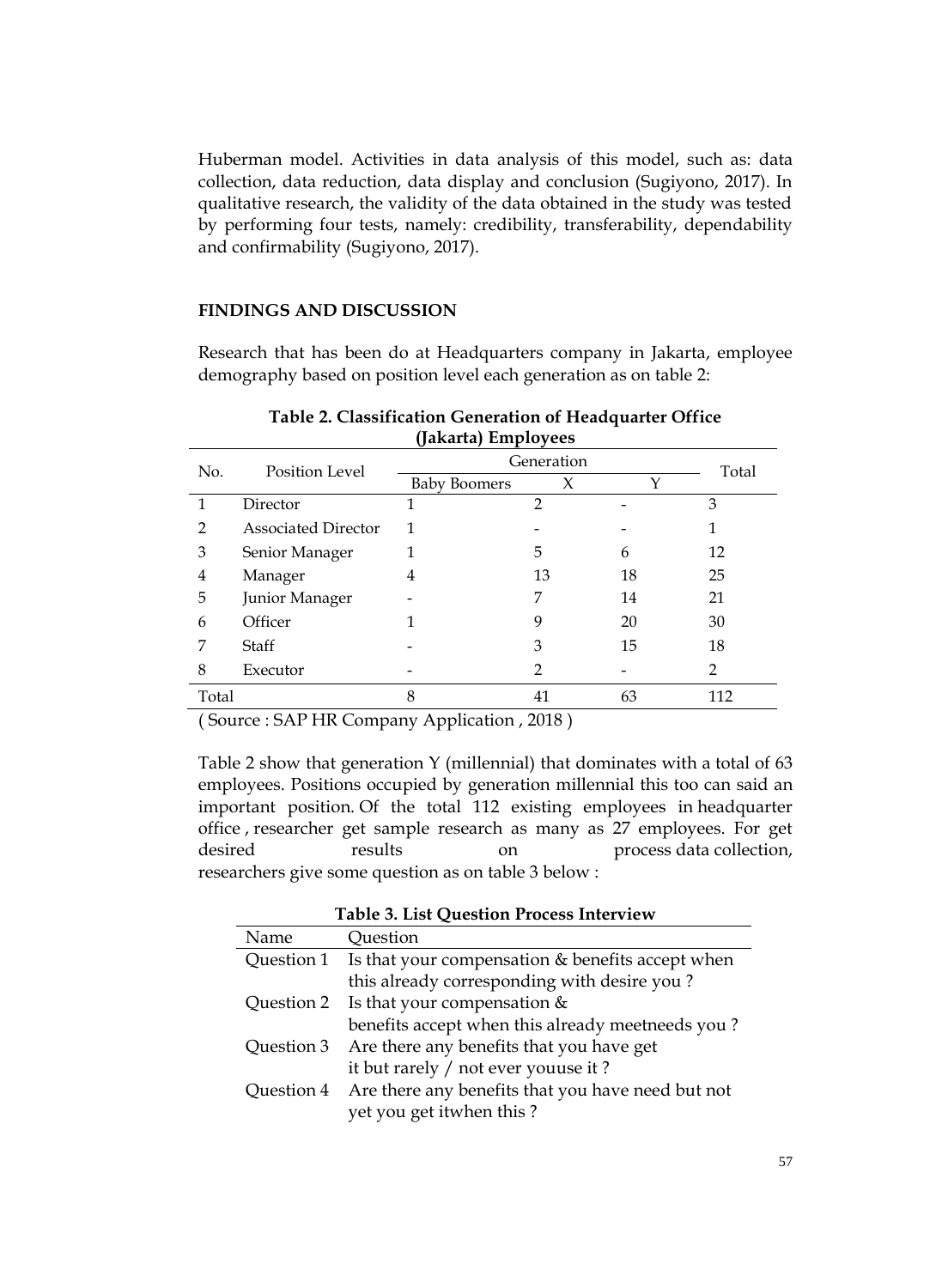Huberman model. Activities in data analysis of this model, such as: data collection, data reduction, data display and conclusion (Sugiyono, 2017). In qualitative research, the validity of the data obtained in the study was tested by performing four tests, namely: credibility, transferability, dependability and confirmability (Sugiyono, 2017).

#### **FINDINGS AND DISCUSSION**

Research that has been do at Headquarters company in Jakarta, employee demography based on position level each generation as on table 2:

| No.           | Position Level             | Generation          | Total          |             |     |
|---------------|----------------------------|---------------------|----------------|-------------|-----|
|               |                            | <b>Baby Boomers</b> | X              | $\check{~}$ |     |
|               | Director                   |                     | $\overline{2}$ |             | 3   |
| $\mathcal{P}$ | <b>Associated Director</b> | 1                   |                |             |     |
| 3             | Senior Manager             |                     | 5              | 6           | 12  |
| 4             | Manager                    | 4                   | 13             | 18          | 25  |
| 5             | Junior Manager             |                     | 7              | 14          | 21  |
| 6             | Officer                    |                     | 9              | 20          | 30  |
| 7             | Staff                      |                     | 3              | 15          | 18  |
| 8             | Executor                   |                     | 2              |             | 2   |
| Total         |                            | 8                   | 41             | 63          | 112 |

**Table 2. Classification Generation of Headquarter Office (Jakarta) Employees**

( Source : SAP HR Company Application , 2018 )

Table 2 show that generation Y (millennial) that dominates with a total of 63 employees. Positions occupied by generation millennial this too can said an important position. Of the total 112 existing employees in headquarter office , researcher get sample research as many as 27 employees. For get desired results on process data collection, researchers give some question as on table 3 below :

**Table 3. List Question Process Interview**

| Name       | Ouestion                                                      |
|------------|---------------------------------------------------------------|
|            | Question 1 Is that your compensation $&$ benefits accept when |
|            | this already corresponding with desire you?                   |
|            | Question 2 Is that your compensation $&$                      |
|            | benefits accept when this already meetneeds you?              |
| Question 3 | Are there any benefits that you have get                      |
|            | it but rarely / not ever youuse it ?                          |
| Ouestion 4 | Are there any benefits that you have need but not             |
|            | yet you get itwhen this?                                      |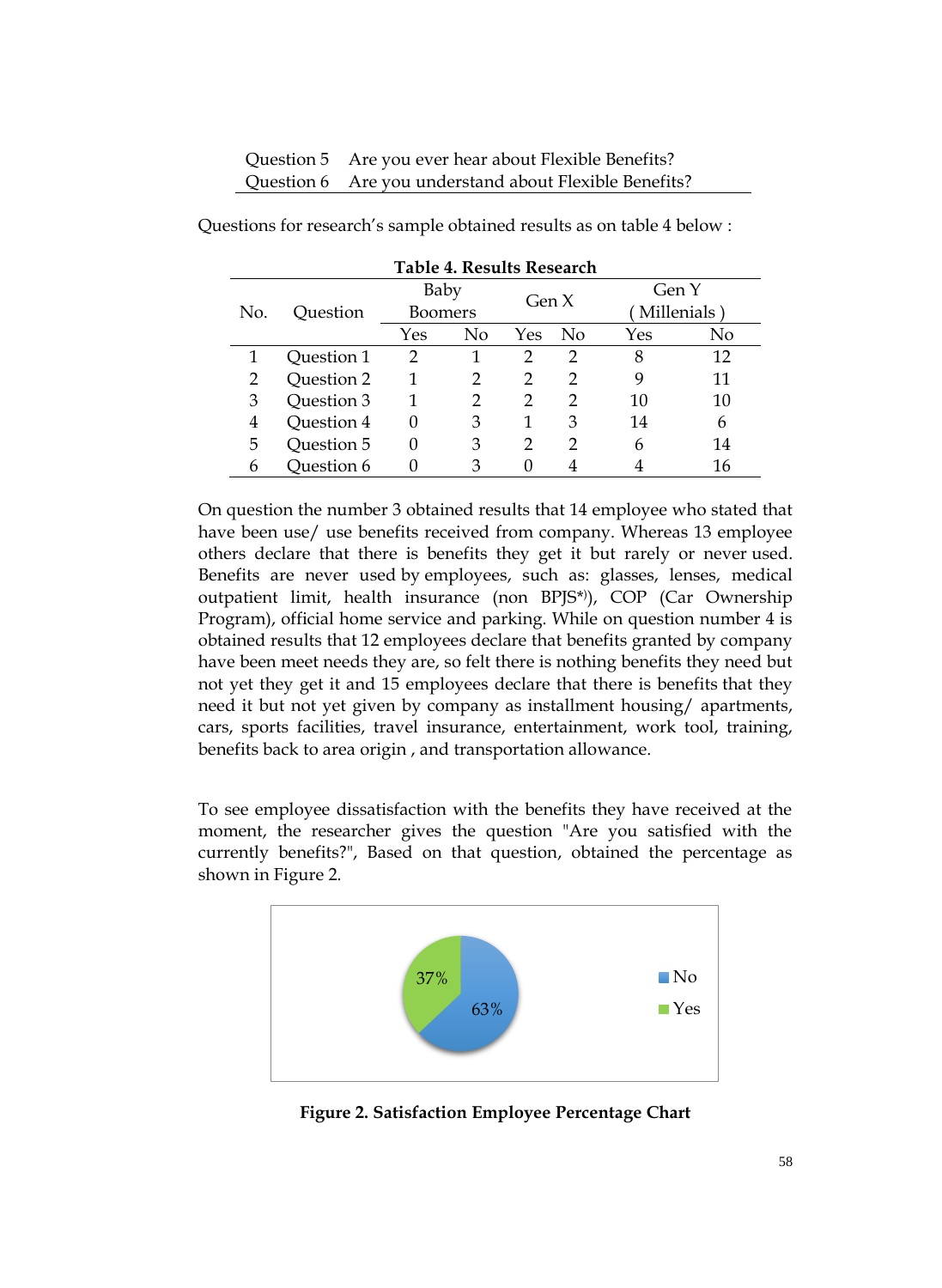| Question 5 Are you ever hear about Flexible Benefits?  |
|--------------------------------------------------------|
| Question 6 Are you understand about Flexible Benefits? |

| Table 4. Results Research |            |                 |    |         |          |             |    |
|---------------------------|------------|-----------------|----|---------|----------|-------------|----|
| No.                       | Ouestion   | Baby<br>Boomers |    | Gen $X$ |          | Gen Y       |    |
|                           |            |                 |    |         |          | Millenials) |    |
|                           |            | Yes             | No | Yes     | $\rm No$ | Yes         | No |
|                           | Ouestion 1 | $\overline{2}$  |    | 2       | 2        | 8           | 12 |
| 2                         | Question 2 | 1               | 2  | 2       | っ        | 9           | 11 |
| 3                         | Question 3 | 1               | 2  | 2       | 2        | 10          | 10 |
| 4                         | Ouestion 4 | 0               | 3  | 1       | 3        | 14          | 6  |
| 5                         | Question 5 | 0               | 3  | 2       | っ        | 6           | 14 |
| 6                         | Ouestion 6 | 0               | 3  |         |          |             | 16 |

Questions for research's sample obtained results as on table 4 below :

On question the number 3 obtained results that 14 employee who stated that have been use/ use benefits received from company. Whereas 13 employee others declare that there is benefits they get it but rarely or never used. Benefits are never used by employees, such as: glasses, lenses, medical outpatient limit, health insurance (non BPJS\* ) ), COP (Car Ownership Program), official home service and parking. While on question number 4 is obtained results that 12 employees declare that benefits granted by company have been meet needs they are, so felt there is nothing benefits they need but not yet they get it and 15 employees declare that there is benefits that they need it but not yet given by company as installment housing/ apartments, cars, sports facilities, travel insurance, entertainment, work tool, training, benefits back to area origin , and transportation allowance.

To see employee dissatisfaction with the benefits they have received at the moment, the researcher gives the question "Are you satisfied with the currently benefits?", Based on that question, obtained the percentage as shown in Figure 2.



**Figure 2. Satisfaction Employee Percentage Chart**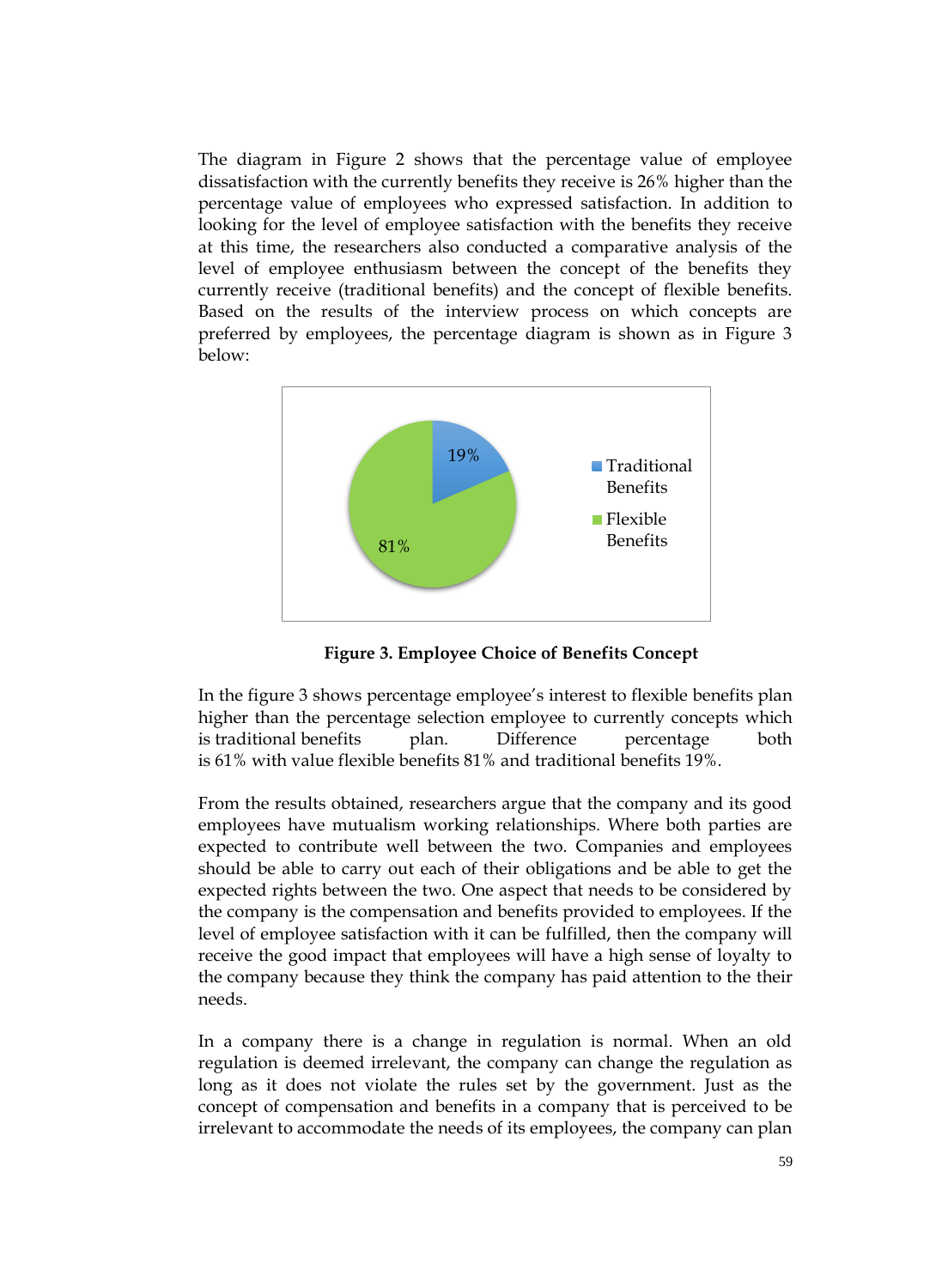The diagram in Figure 2 shows that the percentage value of employee dissatisfaction with the currently benefits they receive is 26% higher than the percentage value of employees who expressed satisfaction. In addition to looking for the level of employee satisfaction with the benefits they receive at this time, the researchers also conducted a comparative analysis of the level of employee enthusiasm between the concept of the benefits they currently receive (traditional benefits) and the concept of flexible benefits. Based on the results of the interview process on which concepts are preferred by employees, the percentage diagram is shown as in Figure 3 below:



**Figure 3. Employee Choice of Benefits Concept**

In the figure 3 shows percentage employee's interest to flexible benefits plan higher than the percentage selection employee to currently concepts which is traditional benefits plan. Difference percentage both is 61% with value flexible benefits 81% and traditional benefits 19%.

From the results obtained, researchers argue that the company and its good employees have mutualism working relationships. Where both parties are expected to contribute well between the two. Companies and employees should be able to carry out each of their obligations and be able to get the expected rights between the two. One aspect that needs to be considered by the company is the compensation and benefits provided to employees. If the level of employee satisfaction with it can be fulfilled, then the company will receive the good impact that employees will have a high sense of loyalty to the company because they think the company has paid attention to the their needs.

In a company there is a change in regulation is normal. When an old regulation is deemed irrelevant, the company can change the regulation as long as it does not violate the rules set by the government. Just as the concept of compensation and benefits in a company that is perceived to be irrelevant to accommodate the needs of its employees, the company can plan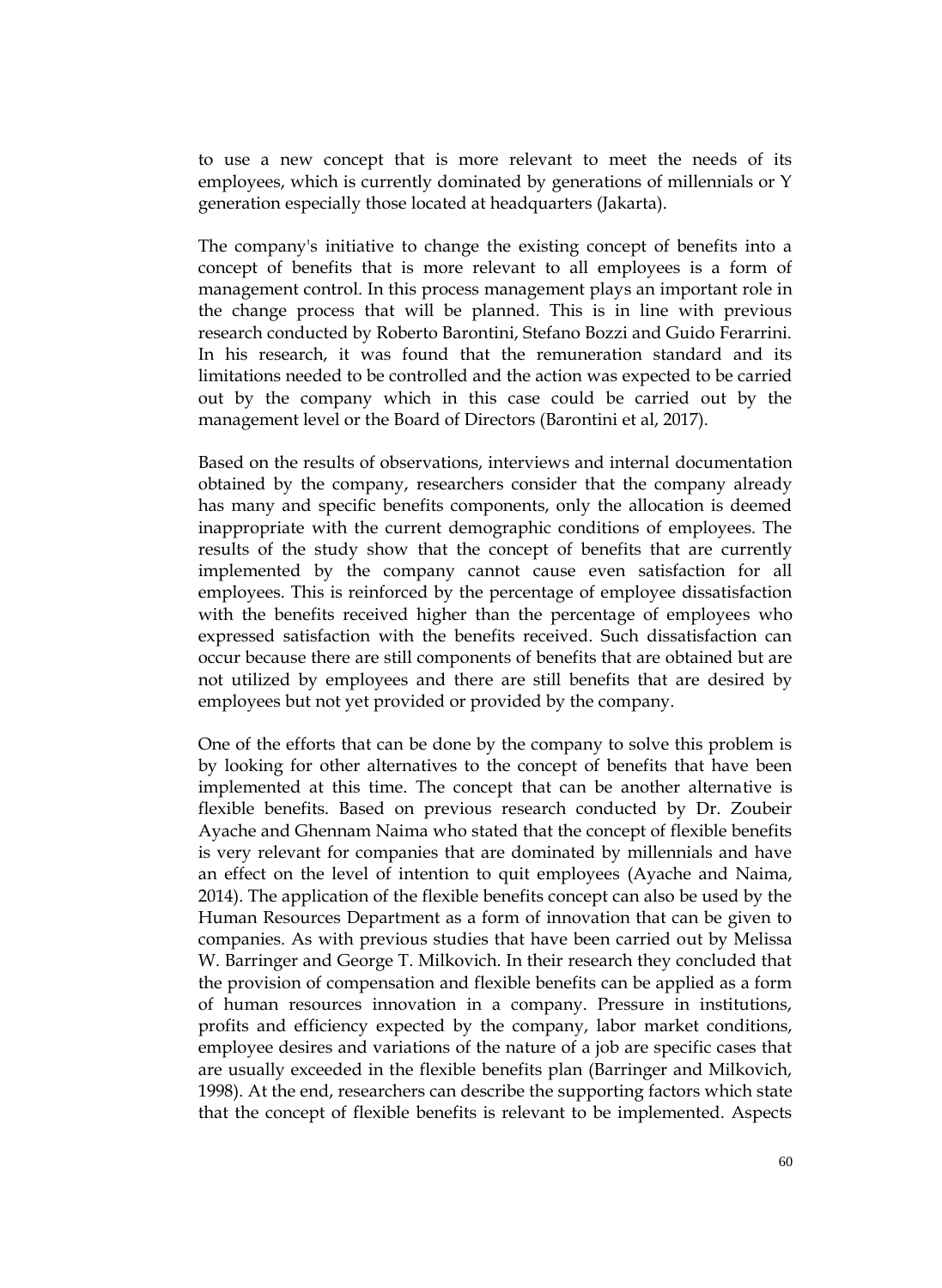to use a new concept that is more relevant to meet the needs of its employees, which is currently dominated by generations of millennials or Y generation especially those located at headquarters (Jakarta).

The company's initiative to change the existing concept of benefits into a concept of benefits that is more relevant to all employees is a form of management control. In this process management plays an important role in the change process that will be planned. This is in line with previous research conducted by Roberto Barontini, Stefano Bozzi and Guido Ferarrini. In his research, it was found that the remuneration standard and its limitations needed to be controlled and the action was expected to be carried out by the company which in this case could be carried out by the management level or the Board of Directors (Barontini et al, 2017).

Based on the results of observations, interviews and internal documentation obtained by the company, researchers consider that the company already has many and specific benefits components, only the allocation is deemed inappropriate with the current demographic conditions of employees. The results of the study show that the concept of benefits that are currently implemented by the company cannot cause even satisfaction for all employees. This is reinforced by the percentage of employee dissatisfaction with the benefits received higher than the percentage of employees who expressed satisfaction with the benefits received. Such dissatisfaction can occur because there are still components of benefits that are obtained but are not utilized by employees and there are still benefits that are desired by employees but not yet provided or provided by the company.

One of the efforts that can be done by the company to solve this problem is by looking for other alternatives to the concept of benefits that have been implemented at this time. The concept that can be another alternative is flexible benefits. Based on previous research conducted by Dr. Zoubeir Ayache and Ghennam Naima who stated that the concept of flexible benefits is very relevant for companies that are dominated by millennials and have an effect on the level of intention to quit employees (Ayache and Naima, 2014). The application of the flexible benefits concept can also be used by the Human Resources Department as a form of innovation that can be given to companies. As with previous studies that have been carried out by Melissa W. Barringer and George T. Milkovich. In their research they concluded that the provision of compensation and flexible benefits can be applied as a form of human resources innovation in a company. Pressure in institutions, profits and efficiency expected by the company, labor market conditions, employee desires and variations of the nature of a job are specific cases that are usually exceeded in the flexible benefits plan (Barringer and Milkovich, 1998). At the end, researchers can describe the supporting factors which state that the concept of flexible benefits is relevant to be implemented. Aspects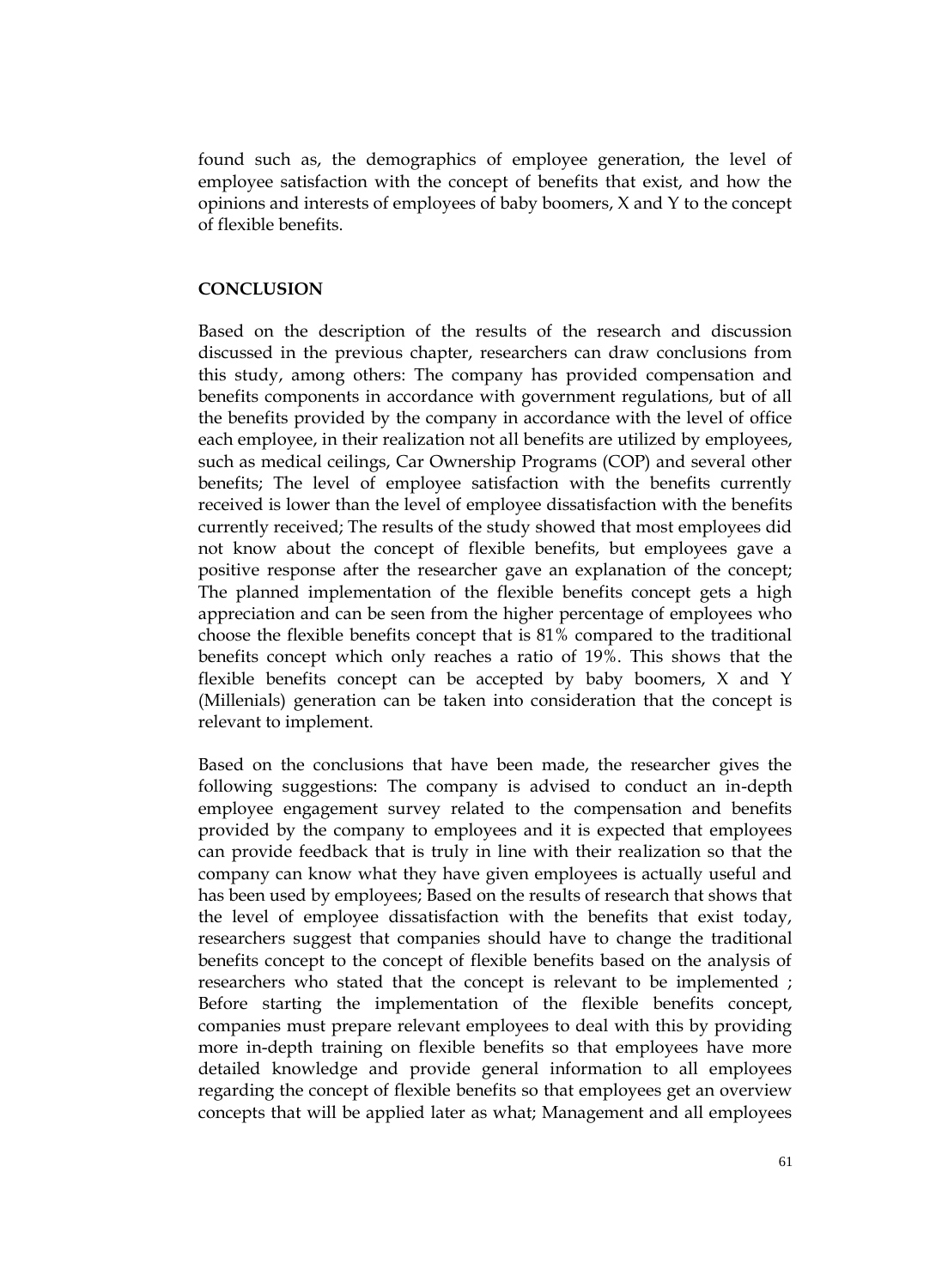found such as, the demographics of employee generation, the level of employee satisfaction with the concept of benefits that exist, and how the opinions and interests of employees of baby boomers, X and Y to the concept of flexible benefits.

#### **CONCLUSION**

Based on the description of the results of the research and discussion discussed in the previous chapter, researchers can draw conclusions from this study, among others: The company has provided compensation and benefits components in accordance with government regulations, but of all the benefits provided by the company in accordance with the level of office each employee, in their realization not all benefits are utilized by employees, such as medical ceilings, Car Ownership Programs (COP) and several other benefits; The level of employee satisfaction with the benefits currently received is lower than the level of employee dissatisfaction with the benefits currently received; The results of the study showed that most employees did not know about the concept of flexible benefits, but employees gave a positive response after the researcher gave an explanation of the concept; The planned implementation of the flexible benefits concept gets a high appreciation and can be seen from the higher percentage of employees who choose the flexible benefits concept that is 81% compared to the traditional benefits concept which only reaches a ratio of 19%. This shows that the flexible benefits concept can be accepted by baby boomers, X and Y (Millenials) generation can be taken into consideration that the concept is relevant to implement.

Based on the conclusions that have been made, the researcher gives the following suggestions: The company is advised to conduct an in-depth employee engagement survey related to the compensation and benefits provided by the company to employees and it is expected that employees can provide feedback that is truly in line with their realization so that the company can know what they have given employees is actually useful and has been used by employees; Based on the results of research that shows that the level of employee dissatisfaction with the benefits that exist today, researchers suggest that companies should have to change the traditional benefits concept to the concept of flexible benefits based on the analysis of researchers who stated that the concept is relevant to be implemented ; Before starting the implementation of the flexible benefits concept, companies must prepare relevant employees to deal with this by providing more in-depth training on flexible benefits so that employees have more detailed knowledge and provide general information to all employees regarding the concept of flexible benefits so that employees get an overview concepts that will be applied later as what; Management and all employees